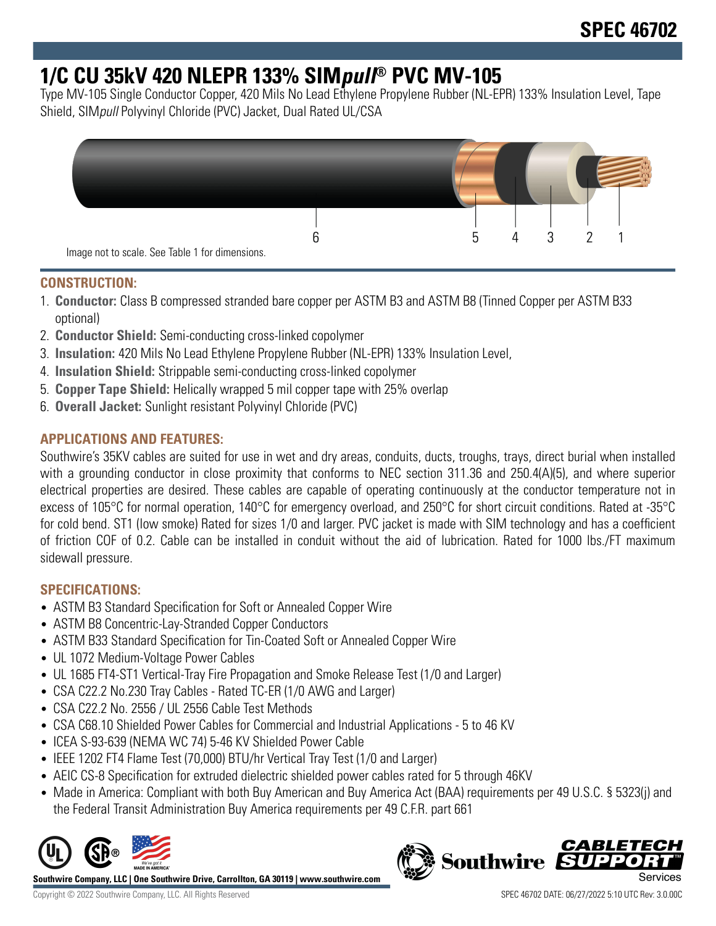## **1/C CU 35kV 420 NLEPR 133% SIMpull® PVC MV-105**

Type MV-105 Single Conductor Copper, 420 Mils No Lead Ethylene Propylene Rubber (NL-EPR) 133% Insulation Level, Tape Shield, SIMpull Polyvinyl Chloride (PVC) Jacket, Dual Rated UL/CSA



## **CONSTRUCTION:**

- 1. **Conductor:** Class B compressed stranded bare copper per ASTM B3 and ASTM B8 (Tinned Copper per ASTM B33 optional)
- 2. **Conductor Shield:** Semi-conducting cross-linked copolymer
- 3. **Insulation:** 420 Mils No Lead Ethylene Propylene Rubber (NL-EPR) 133% Insulation Level,
- 4. **Insulation Shield:** Strippable semi-conducting cross-linked copolymer
- 5. **Copper Tape Shield:** Helically wrapped 5 mil copper tape with 25% overlap
- 6. **Overall Jacket:** Sunlight resistant Polyvinyl Chloride (PVC)

## **APPLICATIONS AND FEATURES:**

Southwire's 35KV cables are suited for use in wet and dry areas, conduits, ducts, troughs, trays, direct burial when installed with a grounding conductor in close proximity that conforms to NEC section 311.36 and 250.4(A)(5), and where superior electrical properties are desired. These cables are capable of operating continuously at the conductor temperature not in excess of 105°C for normal operation, 140°C for emergency overload, and 250°C for short circuit conditions. Rated at -35°C for cold bend. ST1 (low smoke) Rated for sizes 1/0 and larger. PVC jacket is made with SIM technology and has a coefficient of friction COF of 0.2. Cable can be installed in conduit without the aid of lubrication. Rated for 1000 lbs./FT maximum sidewall pressure.

## **SPECIFICATIONS:**

- ASTM B3 Standard Specification for Soft or Annealed Copper Wire
- ASTM B8 Concentric-Lay-Stranded Copper Conductors
- ASTM B33 Standard Specification for Tin-Coated Soft or Annealed Copper Wire
- UL 1072 Medium-Voltage Power Cables
- UL 1685 FT4-ST1 Vertical-Tray Fire Propagation and Smoke Release Test (1/0 and Larger)
- CSA C22.2 No.230 Tray Cables Rated TC-ER (1/0 AWG and Larger)
- CSA C22.2 No. 2556 / UL 2556 Cable Test Methods
- CSA C68.10 Shielded Power Cables for Commercial and Industrial Applications 5 to 46 KV
- ICEA S-93-639 (NEMA WC 74) 5-46 KV Shielded Power Cable
- IEEE 1202 FT4 Flame Test (70,000) BTU/hr Vertical Tray Test (1/0 and Larger)
- AEIC CS-8 Specification for extruded dielectric shielded power cables rated for 5 through 46KV
- Made in America: Compliant with both Buy American and Buy America Act (BAA) requirements per 49 U.S.C. § 5323(j) and the Federal Transit Administration Buy America requirements per 49 C.F.R. part 661



**Southwire Company, LLC | One Southwire Drive, Carrollton, GA 30119 | www.southwire.com**

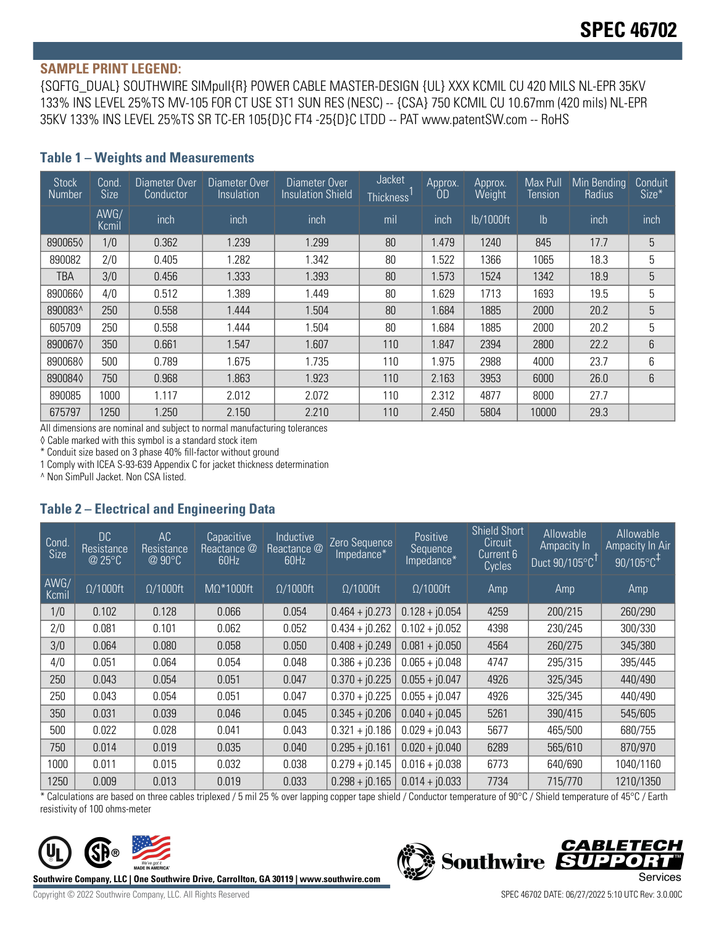#### **SAMPLE PRINT LEGEND:**

{SQFTG\_DUAL} SOUTHWIRE SIMpull{R} POWER CABLE MASTER-DESIGN {UL} XXX KCMIL CU 420 MILS NL-EPR 35KV 133% INS LEVEL 25%TS MV-105 FOR CT USE ST1 SUN RES (NESC) -- {CSA} 750 KCMIL CU 10.67mm (420 mils) NL-EPR 35KV 133% INS LEVEL 25%TS SR TC-ER 105{D}C FT4 -25{D}C LTDD -- PAT www.patentSW.com -- RoHS

| <b>Stock</b><br><b>Number</b> | Cond.<br><b>Size</b> | Diameter Over<br>Conductor | Diameter Over<br>Insulation | Diameter Over<br><b>Insulation Shield</b> | Jacket<br>Thickness <sup>'</sup> | Approx.<br>OD | Approx.<br>Weight | Max Pull<br>Tension | Min Bending<br>Radius | Conduit<br>Size* |
|-------------------------------|----------------------|----------------------------|-----------------------------|-------------------------------------------|----------------------------------|---------------|-------------------|---------------------|-----------------------|------------------|
|                               | AWG/<br>Kcmil        | inch                       | inch                        | inch                                      | mil                              | inch          | lb/1000ft         | $\mathsf{lb}$       | inch                  | inch             |
| 8900650                       | 1/0                  | 0.362                      | 1.239                       | 1.299                                     | 80                               | 1.479         | 1240              | 845                 | 17.7                  | 5                |
| 890082                        | 2/0                  | 0.405                      | 1.282                       | 1.342                                     | 80                               | 1.522         | 1366              | 1065                | 18.3                  | 5                |
| TBA                           | 3/0                  | 0.456                      | 1.333                       | 1.393                                     | 80                               | 1.573         | 1524              | 1342                | 18.9                  | 5                |
| 8900660                       | 4/0                  | 0.512                      | 1.389                       | 1.449                                     | 80                               | 1.629         | 1713              | 1693                | 19.5                  | 5                |
| 890083^                       | 250                  | 0.558                      | 1.444                       | 1.504                                     | 80                               | 1.684         | 1885              | 2000                | 20.2                  | 5                |
| 605709                        | 250                  | 0.558                      | 1.444                       | 1.504                                     | 80                               | 1.684         | 1885              | 2000                | 20.2                  | 5                |
| 8900670                       | 350                  | 0.661                      | 1.547                       | 1.607                                     | 110                              | 1.847         | 2394              | 2800                | 22.2                  | 6                |
| 8900680                       | 500                  | 0.789                      | 1.675                       | 1.735                                     | 110                              | 1.975         | 2988              | 4000                | 23.7                  | 6                |
| 8900840                       | 750                  | 0.968                      | 1.863                       | 1.923                                     | 110                              | 2.163         | 3953              | 6000                | 26.0                  | 6                |
| 890085                        | 1000                 | 1.117                      | 2.012                       | 2.072                                     | 110                              | 2.312         | 4877              | 8000                | 27.7                  |                  |
| 675797                        | 1250                 | 1.250                      | 2.150                       | 2.210                                     | 110                              | 2.450         | 5804              | 10000               | 29.3                  |                  |

#### **Table 1 – Weights and Measurements**

All dimensions are nominal and subject to normal manufacturing tolerances

◊ Cable marked with this symbol is a standard stock item

\* Conduit size based on 3 phase 40% fill-factor without ground

1 Comply with ICEA S-93-639 Appendix C for jacket thickness determination

^ Non SimPull Jacket. Non CSA listed.

### **Table 2 – Electrical and Engineering Data**

| Cond<br><b>Size</b> | DC<br>Resistance<br>@ 25°C | AC<br>Resistance<br>@ 90°C | Capacitive<br>Reactance @<br>60Hz | Inductive<br>Reactance @<br>60Hz | Zero Sequence<br>Impedance* | Positive<br>Sequence<br>Impedance* | <b>Shield Short</b><br>Circuit<br>Current 6<br>Cycles | <b>Allowable</b><br>Ampacity In<br>Duct 90/105°C | <b>Allowable</b><br>Ampacity In Air<br>$90/105^{\circ}C^{1}$ |
|---------------------|----------------------------|----------------------------|-----------------------------------|----------------------------------|-----------------------------|------------------------------------|-------------------------------------------------------|--------------------------------------------------|--------------------------------------------------------------|
| AWG/<br>Kcmil       | $\Omega/1000$ ft           | $\Omega/1000$ ft           | $M\Omega^*1000ft$                 | $\Omega/1000$ ft                 | $\Omega/1000$ ft            | $\Omega/1000$ ft                   | Amp                                                   | Amp                                              | Amp                                                          |
| 1/0                 | 0.102                      | 0.128                      | 0.066                             | 0.054                            | $0.464 + j0.273$            | $0.128 + j0.054$                   | 4259                                                  | 200/215                                          | 260/290                                                      |
| 2/0                 | 0.081                      | 0.101                      | 0.062                             | 0.052                            | $0.434 + j0.262$            | $0.102 + j0.052$                   | 4398                                                  | 230/245                                          | 300/330                                                      |
| 3/0                 | 0.064                      | 0.080                      | 0.058                             | 0.050                            | $0.408 + j0.249$            | $0.081 + j0.050$                   | 4564                                                  | 260/275                                          | 345/380                                                      |
| 4/0                 | 0.051                      | 0.064                      | 0.054                             | 0.048                            | $0.386 + j0.236$            | $0.065 + i0.048$                   | 4747                                                  | 295/315                                          | 395/445                                                      |
| 250                 | 0.043                      | 0.054                      | 0.051                             | 0.047                            | $0.370 + j0.225$            | $0.055 + j0.047$                   | 4926                                                  | 325/345                                          | 440/490                                                      |
| 250                 | 0.043                      | 0.054                      | 0.051                             | 0.047                            | $0.370 + j0.225$            | $0.055 + j0.047$                   | 4926                                                  | 325/345                                          | 440/490                                                      |
| 350                 | 0.031                      | 0.039                      | 0.046                             | 0.045                            | $0.345 + j0.206$            | $0.040 + j0.045$                   | 5261                                                  | 390/415                                          | 545/605                                                      |
| 500                 | 0.022                      | 0.028                      | 0.041                             | 0.043                            | $0.321 + j0.186$            | $0.029 + j0.043$                   | 5677                                                  | 465/500                                          | 680/755                                                      |
| 750                 | 0.014                      | 0.019                      | 0.035                             | 0.040                            | $0.295 + j0.161$            | $0.020 + j0.040$                   | 6289                                                  | 565/610                                          | 870/970                                                      |
| 1000                | 0.011                      | 0.015                      | 0.032                             | 0.038                            | $0.279 + j0.145$            | $0.016 + j0.038$                   | 6773                                                  | 640/690                                          | 1040/1160                                                    |
| 1250                | 0.009                      | 0.013                      | 0.019                             | 0.033                            | $0.298 + j0.165$            | $0.014 + j0.033$                   | 7734                                                  | 715/770                                          | 1210/1350                                                    |

\* Calculations are based on three cables triplexed / 5 mil 25 % over lapping copper tape shield / Conductor temperature of 90°C / Shield temperature of 45°C / Earth resistivity of 100 ohms-meter



**Southwire Company, LLC | One Southwire Drive, Carrollton, GA 30119 | www.southwire.com**